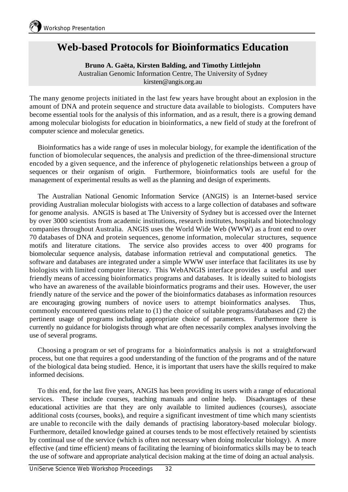## **Web-based Protocols for Bioinformatics Education**

## **Bruno A. Gaëta, Kirsten Balding, and Timothy Littlejohn**

Australian Genomic Information Centre, The University of Sydney kirsten@angis.org.au

The many genome projects initiated in the last few years have brought about an explosion in the amount of DNA and protein sequence and structure data available to biologists. Computers have become essential tools for the analysis of this information, and as a result, there is a growing demand among molecular biologists for education in bioinformatics, a new field of study at the forefront of computer science and molecular genetics.

Bioinformatics has a wide range of uses in molecular biology, for example the identification of the function of biomolecular sequences, the analysis and prediction of the three-dimensional structure encoded by a given sequence, and the inference of phylogenetic relationships between a group of sequences or their organism of origin. Furthermore, bioinformatics tools are useful for the management of experimental results as well as the planning and design of experiments.

The Australian National Genomic Information Service (ANGIS) is an Internet-based service providing Australian molecular biologists with access to a large collection of databases and software for genome analysis. ANGIS is based at The University of Sydney but is accessed over the Internet by over 3000 scientists from academic institutions, research institutes, hospitals and biotechnology companies throughout Australia. ANGIS uses the World Wide Web (WWW) as a front end to over 70 databases of DNA and protein sequences, genome information, molecular structures, sequence motifs and literature citations. The service also provides access to over 400 programs for biomolecular sequence analysis, database information retrieval and computational genetics. The software and databases are integrated under a simple WWW user interface that facilitates its use by biologists with limited computer literacy. This WebANGIS interface provides a useful and user friendly means of accessing bioinformatics programs and databases. It is ideally suited to biologists who have an awareness of the available bioinformatics programs and their uses. However, the user friendly nature of the service and the power of the bioinformatics databases as information resources are encouraging growing numbers of novice users to attempt bioinformatics analyses. Thus, commonly encountered questions relate to (1) the choice of suitable programs/databases and (2) the pertinent usage of programs including appropriate choice of parameters. Furthermore there is currently no guidance for biologists through what are often necessarily complex analyses involving the use of several programs.

Choosing a program or set of programs for a bioinformatics analysis is not a straightforward process, but one that requires a good understanding of the function of the programs and of the nature of the biological data being studied. Hence, it is important that users have the skills required to make informed decisions.

To this end, for the last five years, ANGIS has been providing its users with a range of educational services. These include courses, teaching manuals and online help. Disadvantages of these educational activities are that they are only available to limited audiences (courses), associate additional costs (courses, books), and require a significant investment of time which many scientists are unable to reconcile with the daily demands of practising laboratory-based molecular biology. Furthermore, detailed knowledge gained at courses tends to be most effectively retained by scientists by continual use of the service (which is often not necessary when doing molecular biology). A more effective (and time efficient) means of facilitating the learning of bioinformatics skills may be to teach the use of software and appropriate analytical decision making at the time of doing an actual analysis.